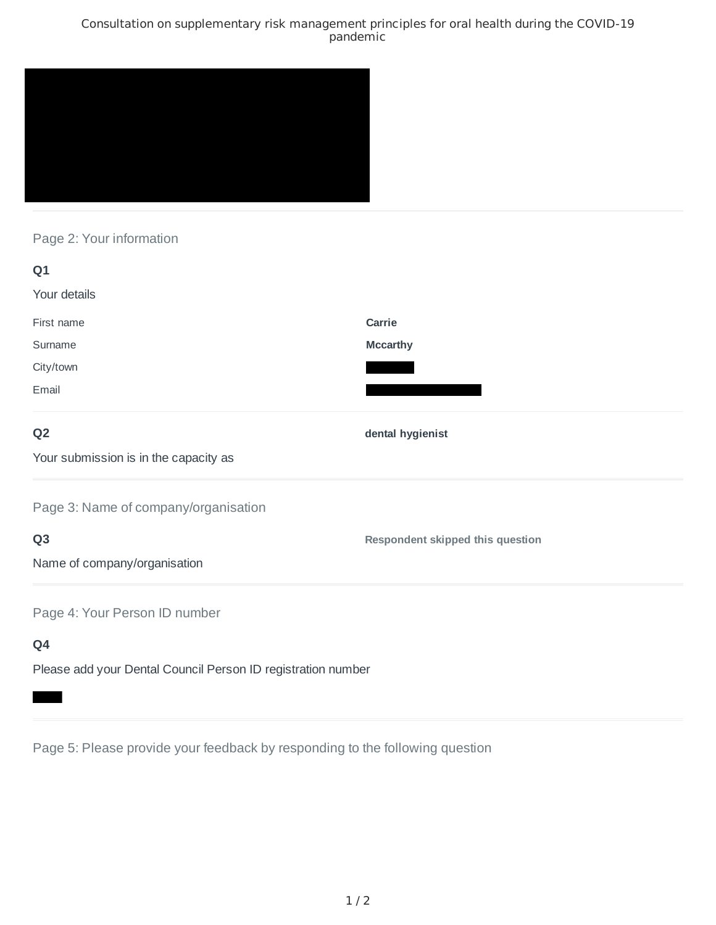### Consultation on supplementary risk management principles for oral health during the COVID-19 pandemic



# Page 2: Your information

| Q1                                                           |                                         |
|--------------------------------------------------------------|-----------------------------------------|
| Your details                                                 |                                         |
| First name                                                   | Carrie                                  |
| Surname                                                      | <b>Mccarthy</b>                         |
| City/town                                                    |                                         |
| Email                                                        |                                         |
| Q <sub>2</sub>                                               | dental hygienist                        |
| Your submission is in the capacity as                        |                                         |
| Page 3: Name of company/organisation                         |                                         |
| Q <sub>3</sub>                                               | <b>Respondent skipped this question</b> |
| Name of company/organisation                                 |                                         |
| Page 4: Your Person ID number                                |                                         |
| Q4                                                           |                                         |
| Please add your Dental Council Person ID registration number |                                         |

Page 5: Please provide your feedback by responding to the following question